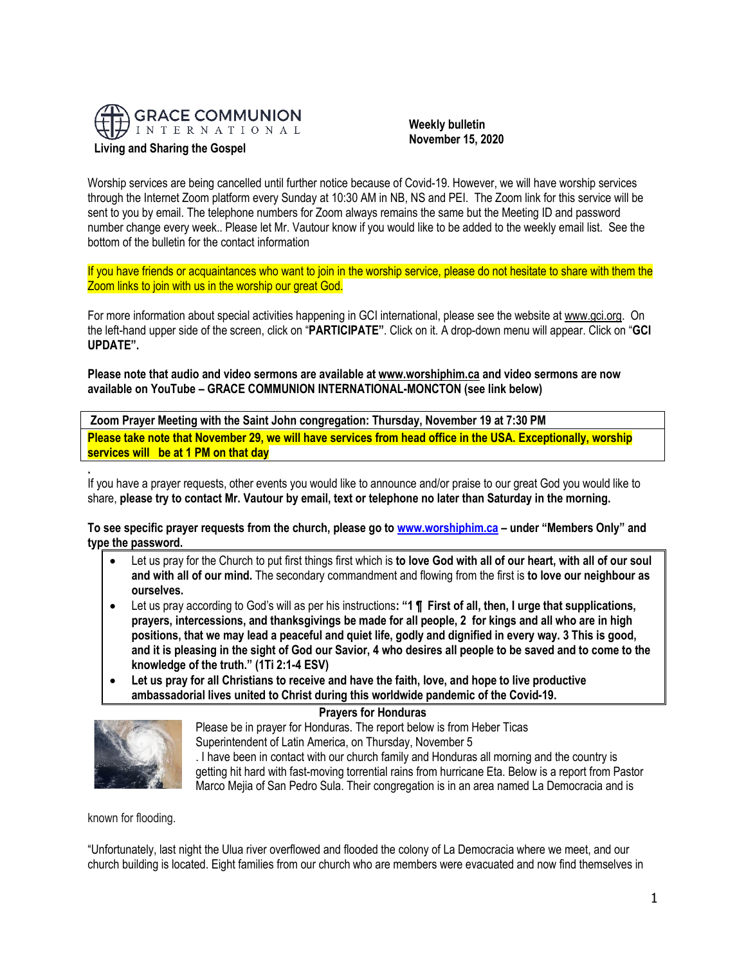

# **Living and Sharing the Gospel**

 **Weekly bulletin November 15, 2020**

Worship services are being cancelled until further notice because of Covid-19. However, we will have worship services through the Internet Zoom platform every Sunday at 10:30 AM in NB, NS and PEI. The Zoom link for this service will be sent to you by email. The telephone numbers for Zoom always remains the same but the Meeting ID and password number change every week.. Please let Mr. Vautour know if you would like to be added to the weekly email list. See the bottom of the bulletin for the contact information

If you have friends or acquaintances who want to join in the worship service, please do not hesitate to share with them the Zoom links to join with us in the worship our great God.

For more information about special activities happening in GCI international, please see the website a[t www.gci.org.](http://www.gci.org/) On the left-hand upper side of the screen, click on "**PARTICIPATE"**. Click on it. A drop-down menu will appear. Click on "**GCI UPDATE".**

**Please note that audio and video sermons are available at [www.worshiphim.ca](http://www.worshiphim.ca/) and video sermons are now available on YouTube – GRACE COMMUNION INTERNATIONAL-MONCTON (see link below)** 

**Zoom Prayer Meeting with the Saint John congregation: Thursday, November 19 at 7:30 PM Please take note that November 29, we will have services from head office in the USA. Exceptionally, worship services will be at 1 PM on that day**

If you have a prayer requests, other events you would like to announce and/or praise to our great God you would like to share, **please try to contact Mr. Vautour by email, text or telephone no later than Saturday in the morning.**

**To see specific prayer requests from the church, please go to [www.worshiphim.ca](http://www.worshiphim.ca/) – under "Members Only" and type the password.**

- Let us pray for the Church to put first things first which is **to love God with all of our heart, with all of our soul and with all of our mind.** The secondary commandment and flowing from the first is **to love our neighbour as ourselves.**
- Let us pray according to God's will as per his instructions**: "1 ¶ First of all, then, I urge that supplications, prayers, intercessions, and thanksgivings be made for all people, 2 for kings and all who are in high positions, that we may lead a peaceful and quiet life, godly and dignified in every way. 3 This is good, and it is pleasing in the sight of God our Savior, 4 who desires all people to be saved and to come to the knowledge of the truth." (1Ti 2:1-4 ESV)**
- **Let us pray for all Christians to receive and have the faith, love, and hope to live productive ambassadorial lives united to Christ during this worldwide pandemic of the Covid-19.**





**.**

Please be in prayer for Honduras. The report below is from Heber Ticas Superintendent of Latin America, on Thursday, November 5 . I have been in contact with our church family and Honduras all morning and the country is getting hit hard with fast-moving torrential rains from hurricane Eta. Below is a report from Pastor Marco Mejia of San Pedro Sula. Their congregation is in an area named La Democracia and is

known for flooding.

"Unfortunately, last night the Ulua river overflowed and flooded the colony of La Democracia where we meet, and our church building is located. Eight families from our church who are members were evacuated and now find themselves in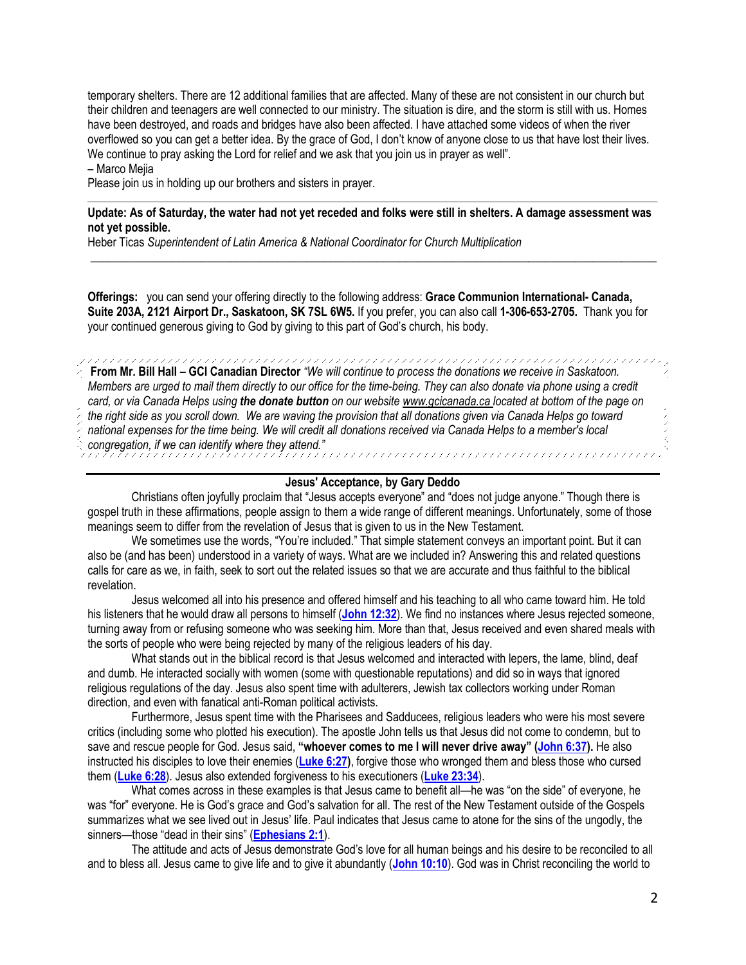temporary shelters. There are 12 additional families that are affected. Many of these are not consistent in our church but their children and teenagers are well connected to our ministry. The situation is dire, and the storm is still with us. Homes have been destroyed, and roads and bridges have also been affected. I have attached some videos of when the river overflowed so you can get a better idea. By the grace of God, I don't know of anyone close to us that have lost their lives. We continue to pray asking the Lord for relief and we ask that you join us in prayer as well".

## – Marco Mejia

Please join us in holding up our brothers and sisters in prayer.

## **Update: As of Saturday, the water had not yet receded and folks were still in shelters. A damage assessment was not yet possible.**

 $\_$  ,  $\_$  ,  $\_$  ,  $\_$  ,  $\_$  ,  $\_$  ,  $\_$  ,  $\_$  ,  $\_$  ,  $\_$  ,  $\_$  ,  $\_$  ,  $\_$  ,  $\_$  ,  $\_$  ,  $\_$  ,  $\_$  ,  $\_$  ,  $\_$  ,  $\_$  ,  $\_$  ,  $\_$  ,  $\_$  ,  $\_$  ,  $\_$  ,  $\_$  ,  $\_$  ,  $\_$  ,  $\_$  ,  $\_$  ,  $\_$  ,  $\_$  ,  $\_$  ,  $\_$  ,  $\_$  ,  $\_$  ,  $\_$  ,

Heber Ticas *Superintendent of Latin America & National Coordinator for Church Multiplication*

**Offerings:** you can send your offering directly to the following address: **Grace Communion International- Canada, Suite 203A, 2121 Airport Dr., Saskatoon, SK 7SL 6W5.** If you prefer, you can also call **1-306-653-2705.** Thank you for your continued generous giving to God by giving to this part of God's church, his body.

**From Mr. Bill Hall – GCI Canadian Director** *"We will continue to process the donations we receive in Saskatoon. Members are urged to mail them directly to our office for the time-being. They can also donate via phone using a credit card, or via Canada Helps using the donate button on our websit[e www.gcicanada.ca](https://eur03.safelinks.protection.outlook.com/?url=http%3A%2F%2Fwww.gcicanada.ca%2F&data=02%7C01%7C%7C9fd93e29c2b44509e5a008d7caa78fdb%7C84df9e7fe9f640afb435aaaaaaaaaaaa%7C1%7C0%7C637200693331983394&sdata=VAGy4Q%2BxbhHuYaeEiDz%2FQyicT%2FoiY4Ir9kc8w5yHRPs%3D&reserved=0) located at bottom of the page on the right side as you scroll down. We are waving the provision that all donations given via Canada Helps go toward national expenses for the time being. We will credit all donations received via Canada Helps to a member's local congregation, if we can identify where they attend."*

### **Jesus' Acceptance, by Gary Deddo**

Christians often joyfully proclaim that "Jesus accepts everyone" and "does not judge anyone." Though there is gospel truth in these affirmations, people assign to them a wide range of different meanings. Unfortunately, some of those meanings seem to differ from the revelation of Jesus that is given to us in the New Testament.

We sometimes use the words, "You're included." That simple statement conveys an important point. But it can also be (and has been) understood in a variety of ways. What are we included in? Answering this and related questions calls for care as we, in faith, seek to sort out the related issues so that we are accurate and thus faithful to the biblical revelation.

Jesus welcomed all into his presence and offered himself and his teaching to all who came toward him. He told his listeners that he would draw all persons to himself (**[John 12:32](https://biblia.com/bible/niv/John%2012.32)**). We find no instances where Jesus rejected someone, turning away from or refusing someone who was seeking him. More than that, Jesus received and even shared meals with the sorts of people who were being rejected by many of the religious leaders of his day.

What stands out in the biblical record is that Jesus welcomed and interacted with lepers, the lame, blind, deaf and dumb. He interacted socially with women (some with questionable reputations) and did so in ways that ignored religious regulations of the day. Jesus also spent time with adulterers, Jewish tax collectors working under Roman direction, and even with fanatical anti-Roman political activists.

Furthermore, Jesus spent time with the Pharisees and Sadducees, religious leaders who were his most severe critics (including some who plotted his execution). The apostle John tells us that Jesus did not come to condemn, but to save and rescue people for God. Jesus said, **"whoever comes to me I will never drive away" ([John 6:37\)](https://biblia.com/bible/niv/John%206.37).** He also instructed his disciples to love their enemies (**[Luke 6:27\)](https://biblia.com/bible/niv/Luke%206.27)**, forgive those who wronged them and bless those who cursed them (**[Luke 6:28](https://biblia.com/bible/niv/Luke%206.28)**). Jesus also extended forgiveness to his executioners (**[Luke 23:34](https://biblia.com/bible/niv/Luke%2023.34)**).

What comes across in these examples is that Jesus came to benefit all—he was "on the side" of everyone, he was "for" everyone. He is God's grace and God's salvation for all. The rest of the New Testament outside of the Gospels summarizes what we see lived out in Jesus' life. Paul indicates that Jesus came to atone for the sins of the ungodly, the sinners—those "dead in their sins" (**[Ephesians 2:1](https://biblia.com/bible/niv/Eph%202.1)**).

The attitude and acts of Jesus demonstrate God's love for all human beings and his desire to be reconciled to all and to bless all. Jesus came to give life and to give it abundantly (**[John 10:10](https://biblia.com/bible/niv/John%2010.10)**). God was in Christ reconciling the world to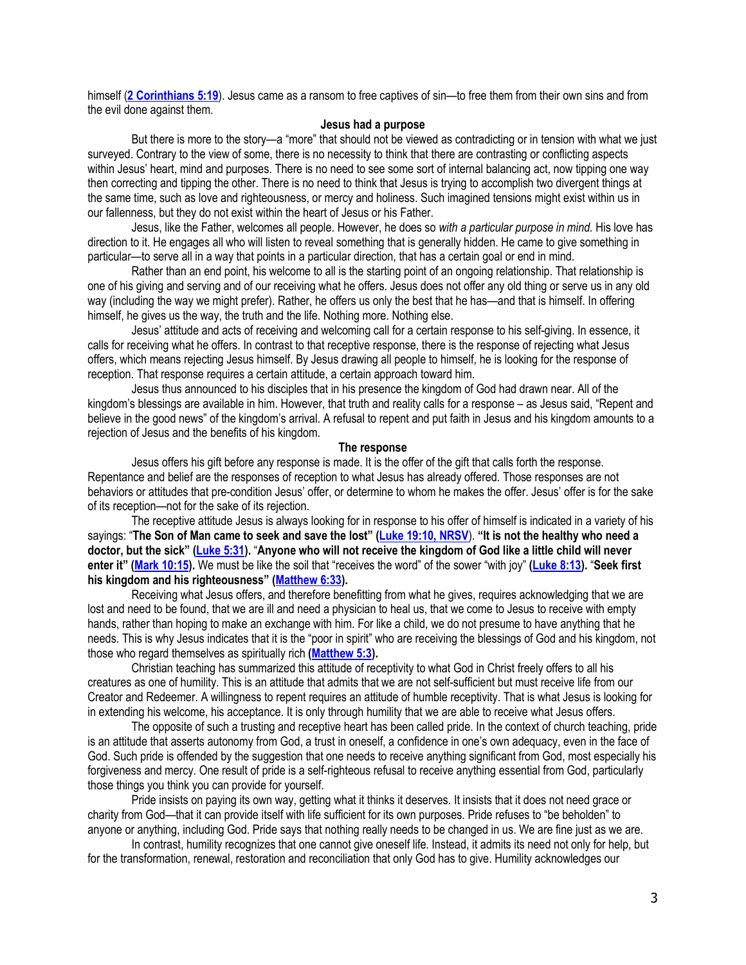himself (**[2 Corinthians 5:19](https://biblia.com/bible/niv/2%20Cor%205.19)**). Jesus came as a ransom to free captives of sin—to free them from their own sins and from the evil done against them.

## **Jesus had a purpose**

But there is more to the story—a "more" that should not be viewed as contradicting or in tension with what we just surveyed. Contrary to the view of some, there is no necessity to think that there are contrasting or conflicting aspects within Jesus' heart, mind and purposes. There is no need to see some sort of internal balancing act, now tipping one way then correcting and tipping the other. There is no need to think that Jesus is trying to accomplish two divergent things at the same time, such as love and righteousness, or mercy and holiness. Such imagined tensions might exist within us in our fallenness, but they do not exist within the heart of Jesus or his Father.

Jesus, like the Father, welcomes all people. However, he does so *with a particular purpose in mind.* His love has direction to it. He engages all who will listen to reveal something that is generally hidden. He came to give something in particular—to serve all in a way that points in a particular direction, that has a certain goal or end in mind.

Rather than an end point, his welcome to all is the starting point of an ongoing relationship. That relationship is one of his giving and serving and of our receiving what he offers. Jesus does not offer any old thing or serve us in any old way (including the way we might prefer). Rather, he offers us only the best that he has—and that is himself. In offering himself, he gives us the way, the truth and the life. Nothing more. Nothing else.

Jesus' attitude and acts of receiving and welcoming call for a certain response to his self-giving. In essence, it calls for receiving what he offers. In contrast to that receptive response, there is the response of rejecting what Jesus offers, which means rejecting Jesus himself. By Jesus drawing all people to himself, he is looking for the response of reception. That response requires a certain attitude, a certain approach toward him.

Jesus thus announced to his disciples that in his presence the kingdom of God had drawn near. All of the kingdom's blessings are available in him. However, that truth and reality calls for a response – as Jesus said, "Repent and believe in the good news" of the kingdom's arrival. A refusal to repent and put faith in Jesus and his kingdom amounts to a rejection of Jesus and the benefits of his kingdom.

### **The response**

Jesus offers his gift before any response is made. It is the offer of the gift that calls forth the response. Repentance and belief are the responses of reception to what Jesus has already offered. Those responses are not behaviors or attitudes that pre-condition Jesus' offer, or determine to whom he makes the offer. Jesus' offer is for the sake of its reception—not for the sake of its rejection.

The receptive attitude Jesus is always looking for in response to his offer of himself is indicated in a variety of his sayings: "**The Son of Man came to seek and save the lost" ([Luke 19:10, NRSV](https://biblia.com/bible/nrsv/Luke%2019.10)**). **"It is not the healthy who need a doctor, but the sick" ([Luke 5:31\)](https://biblia.com/bible/niv/Luke%205.31).** "**Anyone who will not receive the kingdom of God like a little child will never enter it" ([Mark 10:15\)](https://biblia.com/bible/niv/Mark%2010.15).** We must be like the soil that "receives the word" of the sower "with joy" **[\(Luke 8:13\)](https://biblia.com/bible/niv/Luke%208.13).** "**Seek first his kingdom and his righteousness" ([Matthew 6:33\)](https://biblia.com/bible/niv/Matt%206.33).**

Receiving what Jesus offers, and therefore benefitting from what he gives, requires acknowledging that we are lost and need to be found, that we are ill and need a physician to heal us, that we come to Jesus to receive with empty hands, rather than hoping to make an exchange with him. For like a child, we do not presume to have anything that he needs. This is why Jesus indicates that it is the "poor in spirit" who are receiving the blessings of God and his kingdom, not those who regard themselves as spiritually rich **[\(Matthew 5:3\)](https://biblia.com/bible/niv/Matt%205.3).**

Christian teaching has summarized this attitude of receptivity to what God in Christ freely offers to all his creatures as one of humility. This is an attitude that admits that we are not self-sufficient but must receive life from our Creator and Redeemer. A willingness to repent requires an attitude of humble receptivity. That is what Jesus is looking for in extending his welcome, his acceptance. It is only through humility that we are able to receive what Jesus offers.

The opposite of such a trusting and receptive heart has been called pride. In the context of church teaching, pride is an attitude that asserts autonomy from God, a trust in oneself, a confidence in one's own adequacy, even in the face of God. Such pride is offended by the suggestion that one needs to receive anything significant from God, most especially his forgiveness and mercy. One result of pride is a self-righteous refusal to receive anything essential from God, particularly those things you think you can provide for yourself.

Pride insists on paying its own way, getting what it thinks it deserves. It insists that it does not need grace or charity from God—that it can provide itself with life sufficient for its own purposes. Pride refuses to "be beholden" to anyone or anything, including God. Pride says that nothing really needs to be changed in us. We are fine just as we are.

In contrast, humility recognizes that one cannot give oneself life. Instead, it admits its need not only for help, but for the transformation, renewal, restoration and reconciliation that only God has to give. Humility acknowledges our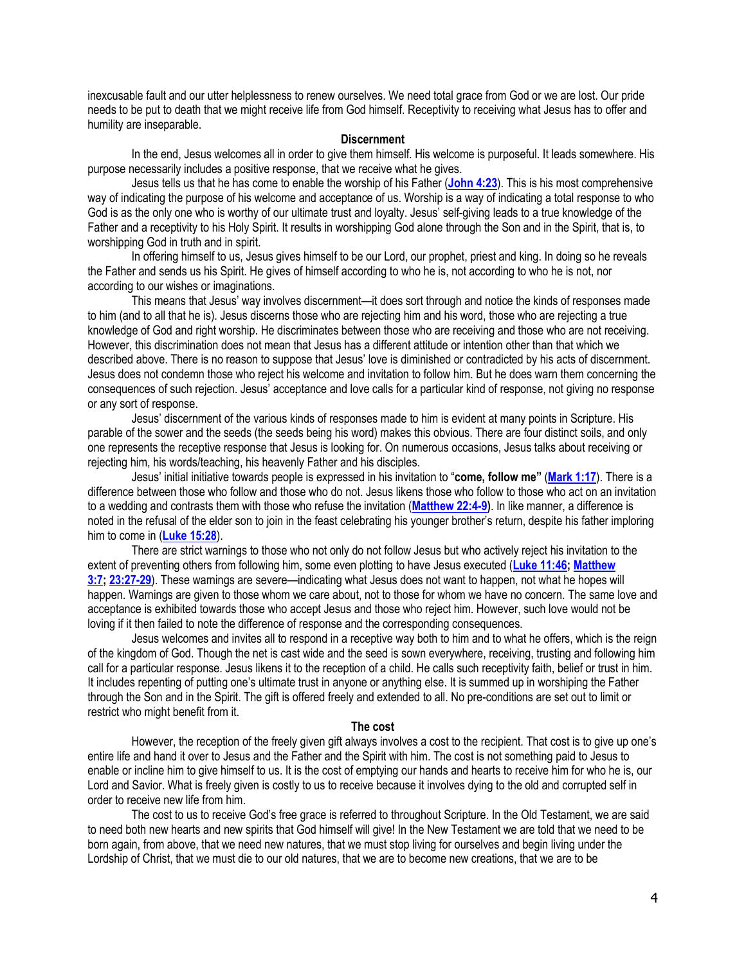inexcusable fault and our utter helplessness to renew ourselves. We need total grace from God or we are lost. Our pride needs to be put to death that we might receive life from God himself. Receptivity to receiving what Jesus has to offer and humility are inseparable.

#### **Discernment**

In the end, Jesus welcomes all in order to give them himself. His welcome is purposeful. It leads somewhere. His purpose necessarily includes a positive response, that we receive what he gives.

Jesus tells us that he has come to enable the worship of his Father (**[John 4:23](https://biblia.com/bible/niv/John%204.23)**). This is his most comprehensive way of indicating the purpose of his welcome and acceptance of us. Worship is a way of indicating a total response to who God is as the only one who is worthy of our ultimate trust and loyalty. Jesus' self-giving leads to a true knowledge of the Father and a receptivity to his Holy Spirit. It results in worshipping God alone through the Son and in the Spirit, that is, to worshipping God in truth and in spirit.

In offering himself to us, Jesus gives himself to be our Lord, our prophet, priest and king. In doing so he reveals the Father and sends us his Spirit. He gives of himself according to who he is, not according to who he is not, nor according to our wishes or imaginations.

This means that Jesus' way involves discernment—it does sort through and notice the kinds of responses made to him (and to all that he is). Jesus discerns those who are rejecting him and his word, those who are rejecting a true knowledge of God and right worship. He discriminates between those who are receiving and those who are not receiving. However, this discrimination does not mean that Jesus has a different attitude or intention other than that which we described above. There is no reason to suppose that Jesus' love is diminished or contradicted by his acts of discernment. Jesus does not condemn those who reject his welcome and invitation to follow him. But he does warn them concerning the consequences of such rejection. Jesus' acceptance and love calls for a particular kind of response, not giving no response or any sort of response.

Jesus' discernment of the various kinds of responses made to him is evident at many points in Scripture. His parable of the sower and the seeds (the seeds being his word) makes this obvious. There are four distinct soils, and only one represents the receptive response that Jesus is looking for. On numerous occasions, Jesus talks about receiving or rejecting him, his words/teaching, his heavenly Father and his disciples.

Jesus' initial initiative towards people is expressed in his invitation to "**come, follow me"** (**[Mark 1:17](https://biblia.com/bible/niv/Mark%201.17)**). There is a difference between those who follow and those who do not. Jesus likens those who follow to those who act on an invitation to a wedding and contrasts them with those who refuse the invitation (**[Matthew 22:4-9\)](https://biblia.com/bible/niv/Matt%2022.4-9)**. In like manner, a difference is noted in the refusal of the elder son to join in the feast celebrating his younger brother's return, despite his father imploring him to come in (**[Luke 15:28](https://biblia.com/bible/niv/Luke%2015.28)**).

There are strict warnings to those who not only do not follow Jesus but who actively reject his invitation to the extent of preventing others from following him, some even plotting to have Jesus executed (**[Luke 11:46;](https://biblia.com/bible/niv/Luke%2011.46) [Matthew](https://biblia.com/bible/niv/Matt%203.7)  [3:7;](https://biblia.com/bible/niv/Matt%203.7) [23:27-29](https://biblia.com/bible/niv/Matthew%2023.27-29)**). These warnings are severe—indicating what Jesus does not want to happen, not what he hopes will happen. Warnings are given to those whom we care about, not to those for whom we have no concern. The same love and acceptance is exhibited towards those who accept Jesus and those who reject him. However, such love would not be loving if it then failed to note the difference of response and the corresponding consequences.

Jesus welcomes and invites all to respond in a receptive way both to him and to what he offers, which is the reign of the kingdom of God. Though the net is cast wide and the seed is sown everywhere, receiving, trusting and following him call for a particular response. Jesus likens it to the reception of a child. He calls such receptivity faith, belief or trust in him. It includes repenting of putting one's ultimate trust in anyone or anything else. It is summed up in worshiping the Father through the Son and in the Spirit. The gift is offered freely and extended to all. No pre-conditions are set out to limit or restrict who might benefit from it.

#### **The cost**

However, the reception of the freely given gift always involves a cost to the recipient. That cost is to give up one's entire life and hand it over to Jesus and the Father and the Spirit with him. The cost is not something paid to Jesus to enable or incline him to give himself to us. It is the cost of emptying our hands and hearts to receive him for who he is, our Lord and Savior. What is freely given is costly to us to receive because it involves dying to the old and corrupted self in order to receive new life from him.

The cost to us to receive God's free grace is referred to throughout Scripture. In the Old Testament, we are said to need both new hearts and new spirits that God himself will give! In the New Testament we are told that we need to be born again, from above, that we need new natures, that we must stop living for ourselves and begin living under the Lordship of Christ, that we must die to our old natures, that we are to become new creations, that we are to be